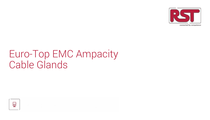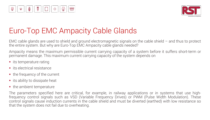

EMC cable glands are used to shield and ground electromagnetic signals on the cable shield – and thus to protect the entire system. But why are Euro-Top EMC Ampacity cable glands needed?

Ampacity means the maximum permissible current carrying capacity of a system before it suffers short-term or permanent damage. This maximum current carrying capacity of the system depends on

- $\blacksquare$  its temperature rating
- **its electrical resistance**
- the frequency of the current
- its ability to dissipate heat
- the ambient temperature

The parameters specified here are critical, for example, in railway applications or in systems that use highfrequency control signals such as VSD (Variable Frequency Drives) or PWM (Pulse Width Modulation). These control signals cause induction currents in the cable shield and must be diverted (earthed) with low resistance so that the system does not fail due to overheating.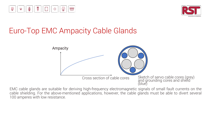





EMC cable glands are suitable for deriving high-frequency electromagnetic signals of small fault currents on the cable shielding. For the above-mentioned applications, however, the cable glands must be able to divert several 100 amperes with low resistance.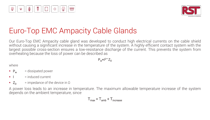

Our Euro-Top EMC Ampacity cable gland was developed to conduct high electrical currents on the cable shield without causing a significant increase in the temperature of the system. A highly efficient contact system with the largest possible cross-section ensures a low-resistance discharge of the current. This prevents the system from overheating because the loss of power can be described as

 $P_w \approx 12 \times Z_D$ 

where

- $\blacksquare$  P<sub>w</sub> = dissipated power
- $\blacksquare$   $\blacksquare$  = induced current
- $\blacksquare$  Z<sub>D</sub> = impedance of the device in  $\Omega$

A power loss leads to an increase in temperature. The maximum allowable temperature increase of the system depends on the ambient temperature, since

$$
T_{\text{max}} = T_{\text{amb}} + T_{\text{increase}}
$$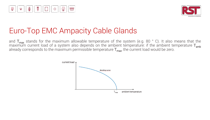



and  $T_{\text{max}}$  stands for the maximum allowable temperature of the system (e.g. 80 ° C). It also means that the maximum current load of a system also depends on the ambient temperature: if the ambient temperature  $T_{\sf amb}$ already corresponds to the maximum permissible temperature  $T_{\text{max}}$ , the current load would be zero.